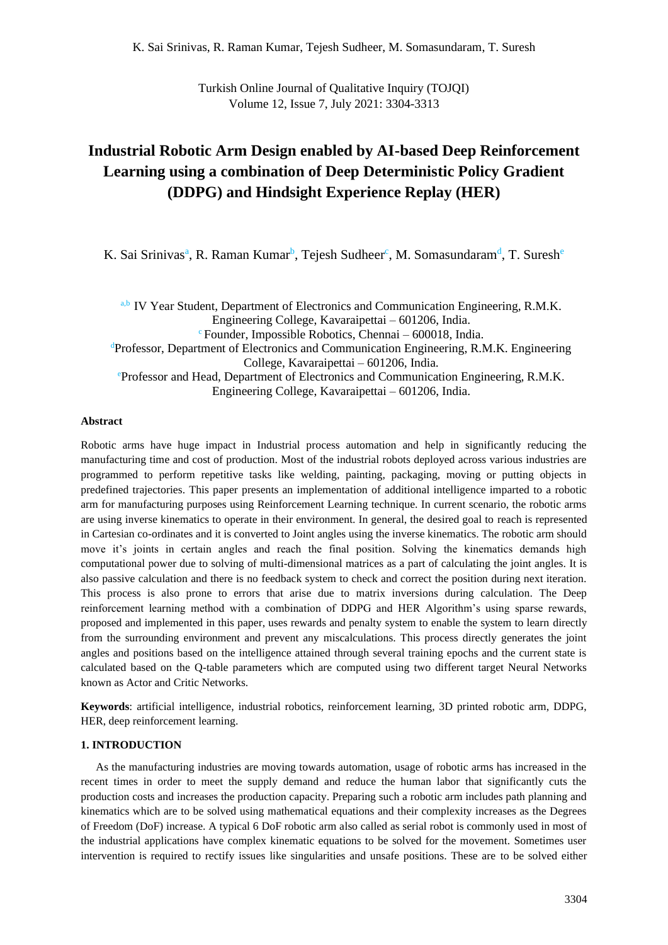Turkish Online Journal of Qualitative Inquiry (TOJQI) Volume 12, Issue 7, July 2021: 3304-3313

# **Industrial Robotic Arm Design enabled by AI-based Deep Reinforcement Learning using a combination of Deep Deterministic Policy Gradient (DDPG) and Hindsight Experience Replay (HER)**

K. Sai Srinivas<sup>a</sup>, R. Raman Kumar<sup>b</sup>, Tejesh Sudheer<sup>c</sup>, M. Somasundaram<sup>d</sup>, T. Suresh<sup>e</sup>

a,b IV Year Student, Department of Electronics and Communication Engineering, R.M.K. Engineering College, Kavaraipettai – 601206, India.  $\textdegree$  Founder, Impossible Robotics, Chennai – 600018, India. <sup>d</sup>Professor, Department of Electronics and Communication Engineering, R.M.K. Engineering College, Kavaraipettai – 601206, India. <sup>e</sup>Professor and Head, Department of Electronics and Communication Engineering, R.M.K. Engineering College, Kavaraipettai – 601206, India.

#### **Abstract**

Robotic arms have huge impact in Industrial process automation and help in significantly reducing the manufacturing time and cost of production. Most of the industrial robots deployed across various industries are programmed to perform repetitive tasks like welding, painting, packaging, moving or putting objects in predefined trajectories. This paper presents an implementation of additional intelligence imparted to a robotic arm for manufacturing purposes using Reinforcement Learning technique. In current scenario, the robotic arms are using inverse kinematics to operate in their environment. In general, the desired goal to reach is represented in Cartesian co-ordinates and it is converted to Joint angles using the inverse kinematics. The robotic arm should move it's joints in certain angles and reach the final position. Solving the kinematics demands high computational power due to solving of multi-dimensional matrices as a part of calculating the joint angles. It is also passive calculation and there is no feedback system to check and correct the position during next iteration. This process is also prone to errors that arise due to matrix inversions during calculation. The Deep reinforcement learning method with a combination of DDPG and HER Algorithm's using sparse rewards, proposed and implemented in this paper, uses rewards and penalty system to enable the system to learn directly from the surrounding environment and prevent any miscalculations. This process directly generates the joint angles and positions based on the intelligence attained through several training epochs and the current state is calculated based on the Q-table parameters which are computed using two different target Neural Networks known as Actor and Critic Networks.

**Keywords**: artificial intelligence, industrial robotics, reinforcement learning, 3D printed robotic arm, DDPG, HER, deep reinforcement learning.

# **1. INTRODUCTION**

As the manufacturing industries are moving towards automation, usage of robotic arms has increased in the recent times in order to meet the supply demand and reduce the human labor that significantly cuts the production costs and increases the production capacity. Preparing such a robotic arm includes path planning and kinematics which are to be solved using mathematical equations and their complexity increases as the Degrees of Freedom (DoF) increase. A typical 6 DoF robotic arm also called as serial robot is commonly used in most of the industrial applications have complex kinematic equations to be solved for the movement. Sometimes user intervention is required to rectify issues like singularities and unsafe positions. These are to be solved either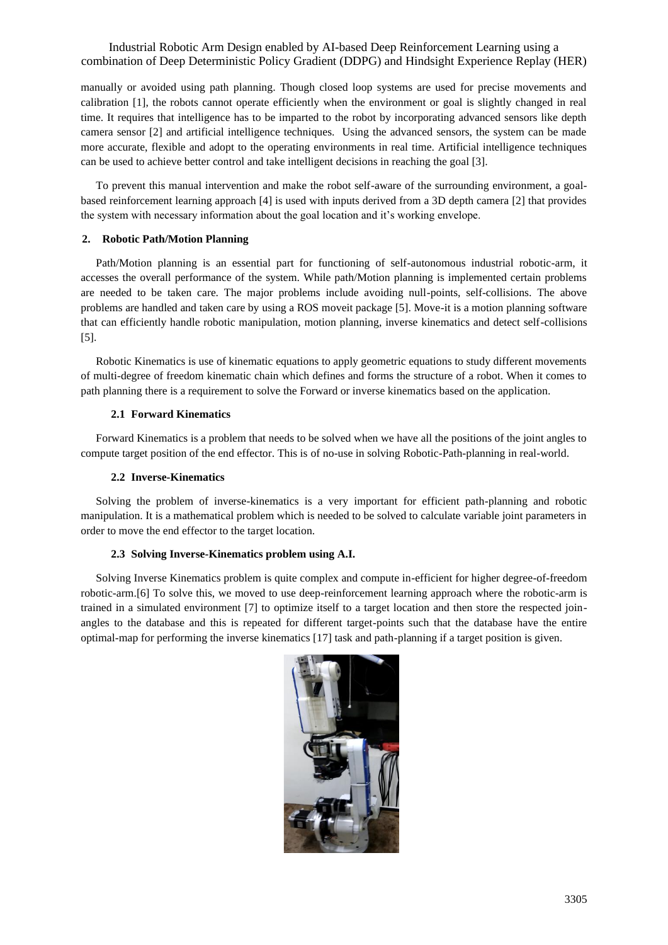manually or avoided using path planning. Though closed loop systems are used for precise movements and calibration [1], the robots cannot operate efficiently when the environment or goal is slightly changed in real time. It requires that intelligence has to be imparted to the robot by incorporating advanced sensors like depth camera sensor [2] and artificial intelligence techniques. Using the advanced sensors, the system can be made more accurate, flexible and adopt to the operating environments in real time. Artificial intelligence techniques can be used to achieve better control and take intelligent decisions in reaching the goal [3].

To prevent this manual intervention and make the robot self-aware of the surrounding environment, a goalbased reinforcement learning approach [4] is used with inputs derived from a 3D depth camera [2] that provides the system with necessary information about the goal location and it's working envelope.

# **2. Robotic Path/Motion Planning**

Path/Motion planning is an essential part for functioning of self-autonomous industrial robotic-arm, it accesses the overall performance of the system. While path/Motion planning is implemented certain problems are needed to be taken care. The major problems include avoiding null-points, self-collisions. The above problems are handled and taken care by using a ROS moveit package [5]. Move-it is a motion planning software that can efficiently handle robotic manipulation, motion planning, inverse kinematics and detect self-collisions [5].

Robotic Kinematics is use of kinematic equations to apply geometric equations to study different movements of multi-degree of freedom kinematic chain which defines and forms the structure of a robot. When it comes to path planning there is a requirement to solve the Forward or inverse kinematics based on the application.

## **2.1 Forward Kinematics**

Forward Kinematics is a problem that needs to be solved when we have all the positions of the joint angles to compute target position of the end effector. This is of no-use in solving Robotic-Path-planning in real-world.

## **2.2 Inverse-Kinematics**

Solving the problem of inverse-kinematics is a very important for efficient path-planning and robotic manipulation. It is a mathematical problem which is needed to be solved to calculate variable joint parameters in order to move the end effector to the target location.

### **2.3 Solving Inverse-Kinematics problem using A.I.**

Solving Inverse Kinematics problem is quite complex and compute in-efficient for higher degree-of-freedom robotic-arm.[6] To solve this, we moved to use deep-reinforcement learning approach where the robotic-arm is trained in a simulated environment [7] to optimize itself to a target location and then store the respected joinangles to the database and this is repeated for different target-points such that the database have the entire optimal-map for performing the inverse kinematics [17] task and path-planning if a target position is given.

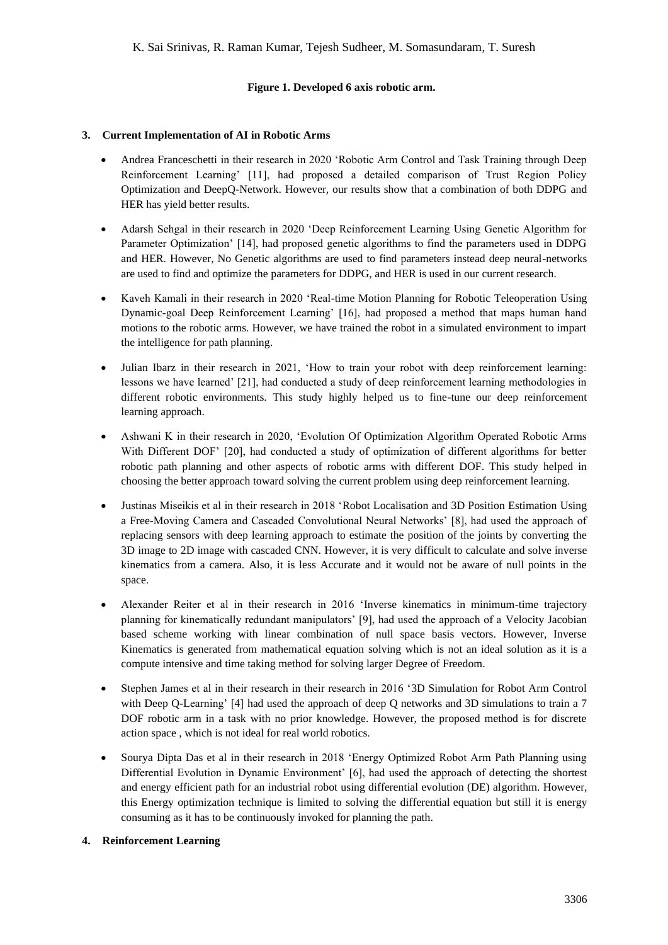# **Figure 1. Developed 6 axis robotic arm.**

# **3. Current Implementation of AI in Robotic Arms**

- Andrea Franceschetti in their research in 2020 'Robotic Arm Control and Task Training through Deep Reinforcement Learning' [11], had proposed a detailed comparison of Trust Region Policy Optimization and DeepQ-Network. However, our results show that a combination of both DDPG and HER has yield better results.
- Adarsh Sehgal in their research in 2020 'Deep Reinforcement Learning Using Genetic Algorithm for Parameter Optimization' [14], had proposed genetic algorithms to find the parameters used in DDPG and HER. However, No Genetic algorithms are used to find parameters instead deep neural-networks are used to find and optimize the parameters for DDPG, and HER is used in our current research.
- Kaveh Kamali in their research in 2020 'Real-time Motion Planning for Robotic Teleoperation Using Dynamic-goal Deep Reinforcement Learning' [16], had proposed a method that maps human hand motions to the robotic arms. However, we have trained the robot in a simulated environment to impart the intelligence for path planning.
- Julian Ibarz in their research in 2021, 'How to train your robot with deep reinforcement learning: lessons we have learned' [21], had conducted a study of deep reinforcement learning methodologies in different robotic environments. This study highly helped us to fine-tune our deep reinforcement learning approach.
- Ashwani K in their research in 2020, 'Evolution Of Optimization Algorithm Operated Robotic Arms With Different DOF' [20], had conducted a study of optimization of different algorithms for better robotic path planning and other aspects of robotic arms with different DOF. This study helped in choosing the better approach toward solving the current problem using deep reinforcement learning.
- Justinas Miseikis et al in their research in 2018 'Robot Localisation and 3D Position Estimation Using a Free-Moving Camera and Cascaded Convolutional Neural Networks' [8], had used the approach of replacing sensors with deep learning approach to estimate the position of the joints by converting the 3D image to 2D image with cascaded CNN. However, it is very difficult to calculate and solve inverse kinematics from a camera. Also, it is less Accurate and it would not be aware of null points in the space.
- Alexander Reiter et al in their research in 2016 'Inverse kinematics in minimum-time trajectory planning for kinematically redundant manipulators' [9], had used the approach of a Velocity Jacobian based scheme working with linear combination of null space basis vectors. However, Inverse Kinematics is generated from mathematical equation solving which is not an ideal solution as it is a compute intensive and time taking method for solving larger Degree of Freedom.
- Stephen James et al in their research in their research in 2016 '3D Simulation for Robot Arm Control with Deep Q-Learning' [4] had used the approach of deep Q networks and 3D simulations to train a 7 DOF robotic arm in a task with no prior knowledge. However, the proposed method is for discrete action space , which is not ideal for real world robotics.
- Sourya Dipta Das et al in their research in 2018 'Energy Optimized Robot Arm Path Planning using Differential Evolution in Dynamic Environment' [6], had used the approach of detecting the shortest and energy efficient path for an industrial robot using differential evolution (DE) algorithm. However, this Energy optimization technique is limited to solving the differential equation but still it is energy consuming as it has to be continuously invoked for planning the path.

# **4. Reinforcement Learning**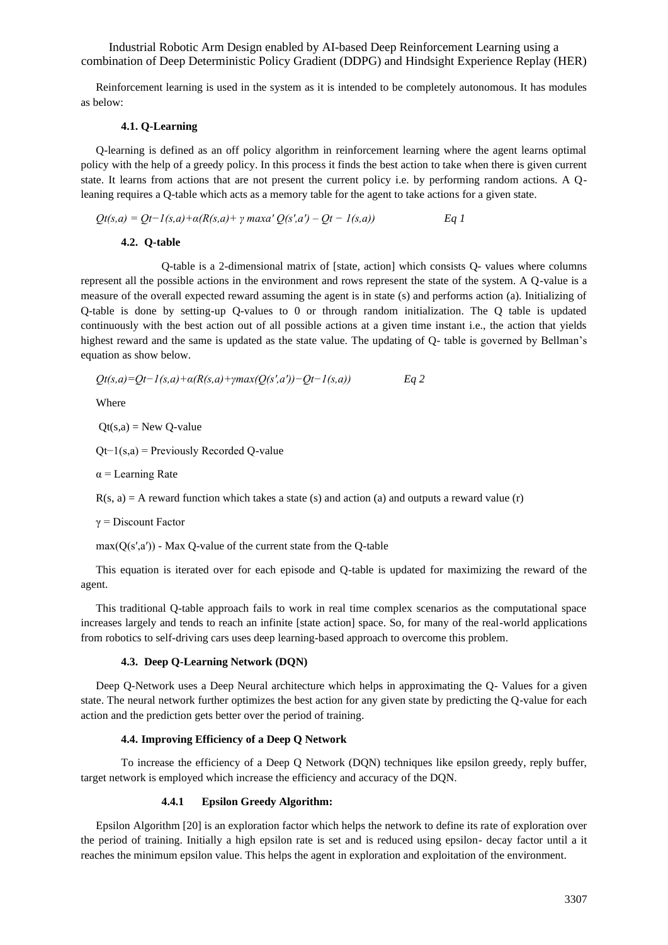Reinforcement learning is used in the system as it is intended to be completely autonomous. It has modules as below:

#### **4.1. Q-Learning**

Q-learning is defined as an off policy algorithm in reinforcement learning where the agent learns optimal policy with the help of a greedy policy. In this process it finds the best action to take when there is given current state. It learns from actions that are not present the current policy i.e. by performing random actions. A Qleaning requires a Q-table which acts as a memory table for the agent to take actions for a given state.

$$
Qt(s,a) = Qt-1(s,a)+\alpha(R(s,a)+\gamma \max a' Q(s',a')-Qt-1(s,a))
$$
 Eq 1

## **4.2. Q-table**

Q-table is a 2-dimensional matrix of [state, action] which consists Q- values where columns represent all the possible actions in the environment and rows represent the state of the system. A Q-value is a measure of the overall expected reward assuming the agent is in state (s) and performs action (a). Initializing of Q-table is done by setting-up Q-values to 0 or through random initialization. The Q table is updated continuously with the best action out of all possible actions at a given time instant i.e., the action that yields highest reward and the same is updated as the state value. The updating of Q- table is governed by Bellman's equation as show below.

$$
Qt(s,a) = Qt-1(s,a) + \alpha(R(s,a) + \gamma max(Q(s',a'))-Qt-1(s,a))
$$
 Eq 2

Where

 $Qt(s,a) = New Q-value$ 

Qt−1(s,a) = Previously Recorded Q-value

 $\alpha$  = Learning Rate

 $R(s, a) = A$  reward function which takes a state (s) and action (a) and outputs a reward value (r)

 $γ = Discount Factor$ 

 $max(Q(s',a'))$  - Max Q-value of the current state from the Q-table

This equation is iterated over for each episode and Q-table is updated for maximizing the reward of the agent.

This traditional Q-table approach fails to work in real time complex scenarios as the computational space increases largely and tends to reach an infinite [state action] space. So, for many of the real-world applications from robotics to self-driving cars uses deep learning-based approach to overcome this problem.

## **4.3. Deep Q-Learning Network (DQN)**

Deep Q-Network uses a Deep Neural architecture which helps in approximating the Q- Values for a given state. The neural network further optimizes the best action for any given state by predicting the Q-value for each action and the prediction gets better over the period of training.

#### **4.4. Improving Efficiency of a Deep Q Network**

 To increase the efficiency of a Deep Q Network (DQN) techniques like epsilon greedy, reply buffer, target network is employed which increase the efficiency and accuracy of the DQN.

#### **4.4.1 Epsilon Greedy Algorithm:**

Epsilon Algorithm [20] is an exploration factor which helps the network to define its rate of exploration over the period of training. Initially a high epsilon rate is set and is reduced using epsilon- decay factor until a it reaches the minimum epsilon value. This helps the agent in exploration and exploitation of the environment.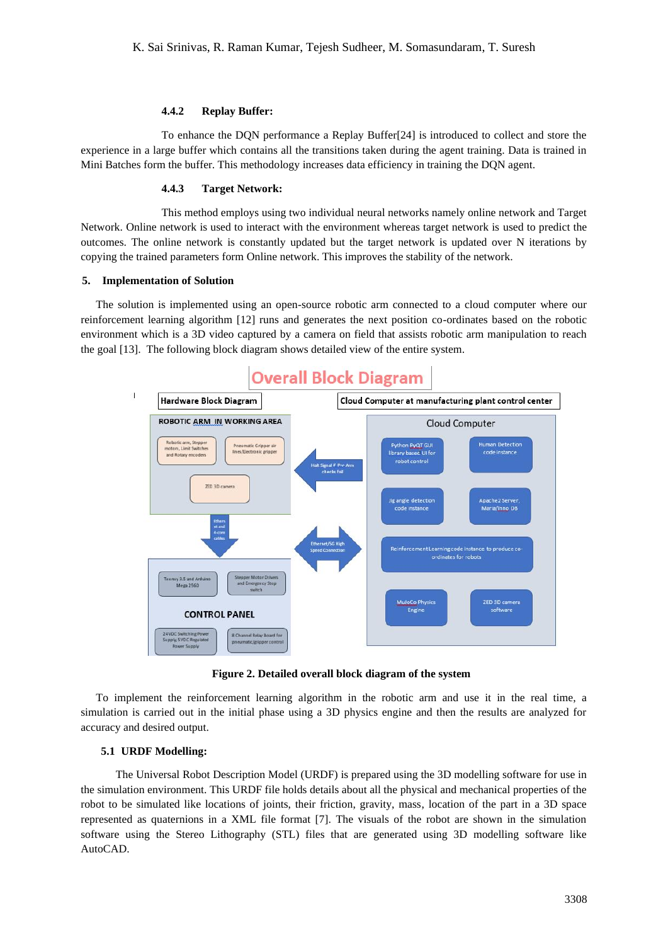## **4.4.2 Replay Buffer:**

To enhance the DQN performance a Replay Buffer[24] is introduced to collect and store the experience in a large buffer which contains all the transitions taken during the agent training. Data is trained in Mini Batches form the buffer. This methodology increases data efficiency in training the DQN agent.

# **4.4.3 Target Network:**

This method employs using two individual neural networks namely online network and Target Network. Online network is used to interact with the environment whereas target network is used to predict the outcomes. The online network is constantly updated but the target network is updated over N iterations by copying the trained parameters form Online network. This improves the stability of the network.

#### **5. Implementation of Solution**

The solution is implemented using an open-source robotic arm connected to a cloud computer where our reinforcement learning algorithm [12] runs and generates the next position co-ordinates based on the robotic environment which is a 3D video captured by a camera on field that assists robotic arm manipulation to reach the goal [13]. The following block diagram shows detailed view of the entire system.



**Figure 2. Detailed overall block diagram of the system**

To implement the reinforcement learning algorithm in the robotic arm and use it in the real time, a simulation is carried out in the initial phase using a 3D physics engine and then the results are analyzed for accuracy and desired output.

### **5.1 URDF Modelling:**

The Universal Robot Description Model (URDF) is prepared using the 3D modelling software for use in the simulation environment. This URDF file holds details about all the physical and mechanical properties of the robot to be simulated like locations of joints, their friction, gravity, mass, location of the part in a 3D space represented as quaternions in a XML file format [7]. The visuals of the robot are shown in the simulation software using the Stereo Lithography (STL) files that are generated using 3D modelling software like AutoCAD.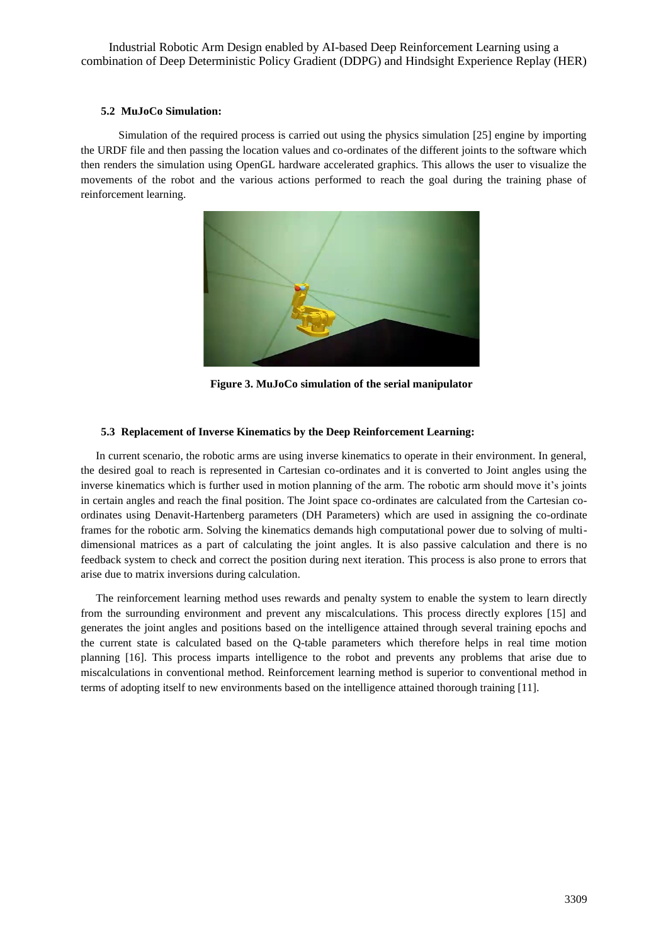## **5.2 MuJoCo Simulation:**

 Simulation of the required process is carried out using the physics simulation [25] engine by importing the URDF file and then passing the location values and co-ordinates of the different joints to the software which then renders the simulation using OpenGL hardware accelerated graphics. This allows the user to visualize the movements of the robot and the various actions performed to reach the goal during the training phase of reinforcement learning.



**Figure 3. MuJoCo simulation of the serial manipulator**

## **5.3 Replacement of Inverse Kinematics by the Deep Reinforcement Learning:**

In current scenario, the robotic arms are using inverse kinematics to operate in their environment. In general, the desired goal to reach is represented in Cartesian co-ordinates and it is converted to Joint angles using the inverse kinematics which is further used in motion planning of the arm. The robotic arm should move it's joints in certain angles and reach the final position. The Joint space co-ordinates are calculated from the Cartesian coordinates using Denavit-Hartenberg parameters (DH Parameters) which are used in assigning the co-ordinate frames for the robotic arm. Solving the kinematics demands high computational power due to solving of multidimensional matrices as a part of calculating the joint angles. It is also passive calculation and there is no feedback system to check and correct the position during next iteration. This process is also prone to errors that arise due to matrix inversions during calculation.

The reinforcement learning method uses rewards and penalty system to enable the system to learn directly from the surrounding environment and prevent any miscalculations. This process directly explores [15] and generates the joint angles and positions based on the intelligence attained through several training epochs and the current state is calculated based on the Q-table parameters which therefore helps in real time motion planning [16]. This process imparts intelligence to the robot and prevents any problems that arise due to miscalculations in conventional method. Reinforcement learning method is superior to conventional method in terms of adopting itself to new environments based on the intelligence attained thorough training [11].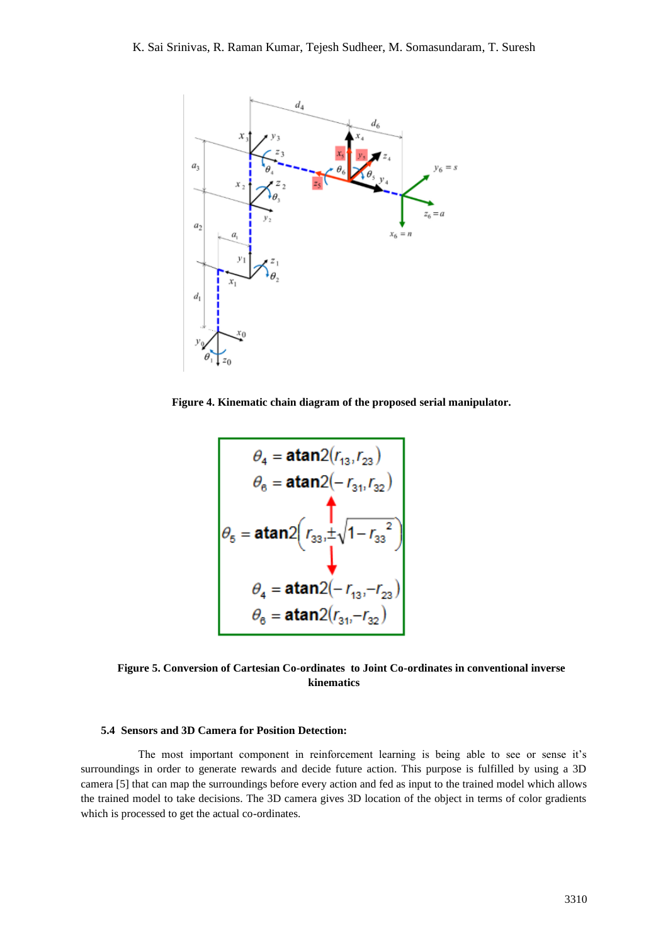

**Figure 4. Kinematic chain diagram of the proposed serial manipulator.**

$$
\theta_{4} = \text{atan2}(r_{13}, r_{23})
$$
\n
$$
\theta_{6} = \text{atan2}(-r_{31}, r_{32})
$$
\n
$$
\theta_{5} = \text{atan2}\left(r_{33}, \pm \sqrt{1 - r_{33}^{2}}\right)
$$
\n
$$
\theta_{4} = \text{atan2}(-r_{13}, -r_{23})
$$
\n
$$
\theta_{6} = \text{atan2}(r_{31}, -r_{32})
$$

**Figure 5. Conversion of Cartesian Co-ordinates to Joint Co-ordinates in conventional inverse kinematics**

## **5.4 Sensors and 3D Camera for Position Detection:**

 The most important component in reinforcement learning is being able to see or sense it's surroundings in order to generate rewards and decide future action. This purpose is fulfilled by using a 3D camera [5] that can map the surroundings before every action and fed as input to the trained model which allows the trained model to take decisions. The 3D camera gives 3D location of the object in terms of color gradients which is processed to get the actual co-ordinates.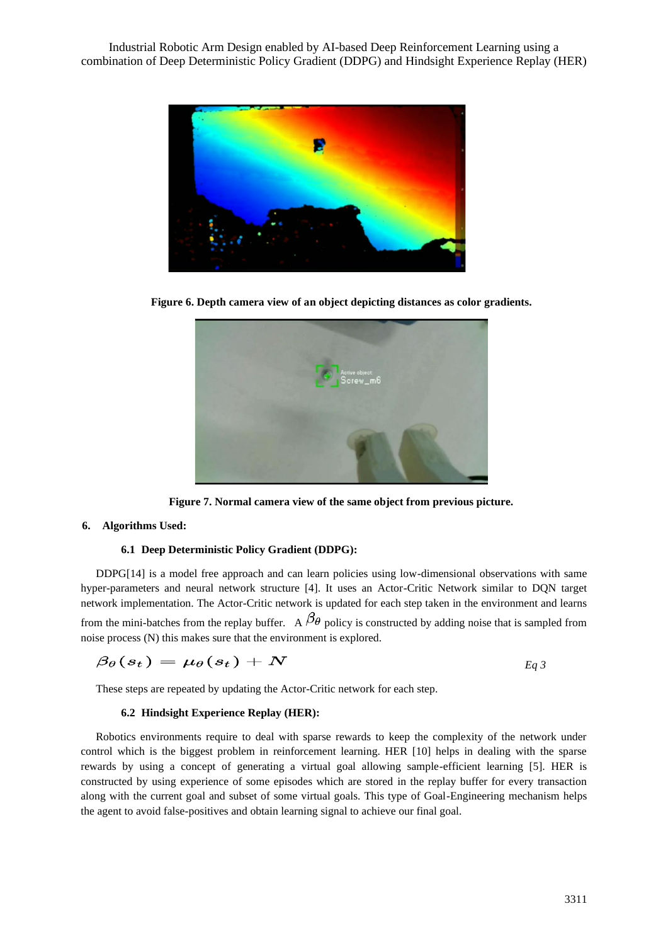

**Figure 6. Depth camera view of an object depicting distances as color gradients.**



**Figure 7. Normal camera view of the same object from previous picture.**

# **6. Algorithms Used:**

# **6.1 Deep Deterministic Policy Gradient (DDPG):**

DDPG[14] is a model free approach and can learn policies using low-dimensional observations with same hyper-parameters and neural network structure [4]. It uses an Actor-Critic Network similar to DQN target network implementation. The Actor-Critic network is updated for each step taken in the environment and learns from the mini-batches from the replay buffer. A  $\beta_{\theta}$  policy is constructed by adding noise that is sampled from noise process (N) this makes sure that the environment is explored.

$$
\beta_\theta(s_t) = \mu_\theta(s_t) + N \hspace{2.5cm} \text{Eq 3}
$$

These steps are repeated by updating the Actor-Critic network for each step.

### **6.2 Hindsight Experience Replay (HER):**

Robotics environments require to deal with sparse rewards to keep the complexity of the network under control which is the biggest problem in reinforcement learning. HER [10] helps in dealing with the sparse rewards by using a concept of generating a virtual goal allowing sample-efficient learning [5]. HER is constructed by using experience of some episodes which are stored in the replay buffer for every transaction along with the current goal and subset of some virtual goals. This type of Goal-Engineering mechanism helps the agent to avoid false-positives and obtain learning signal to achieve our final goal.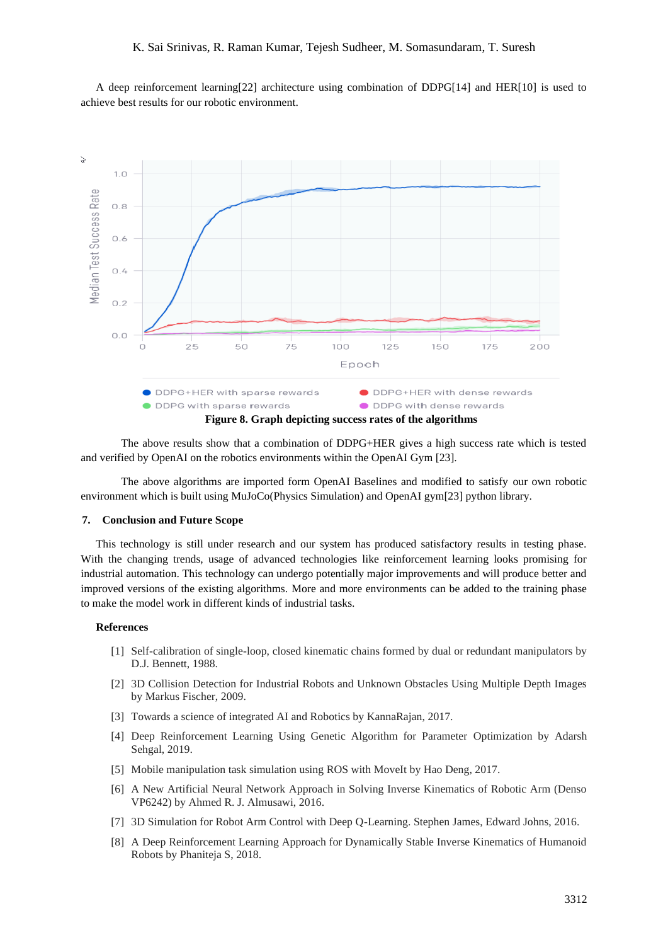A deep reinforcement learning[22] architecture using combination of DDPG[14] and HER[10] is used to achieve best results for our robotic environment.



The above results show that a combination of DDPG+HER gives a high success rate which is tested and verified by OpenAI on the robotics environments within the OpenAI Gym [23].

The above algorithms are imported form OpenAI Baselines and modified to satisfy our own robotic environment which is built using MuJoCo(Physics Simulation) and OpenAI gym[23] python library.

## **7. Conclusion and Future Scope**

This technology is still under research and our system has produced satisfactory results in testing phase. With the changing trends, usage of advanced technologies like reinforcement learning looks promising for industrial automation. This technology can undergo potentially major improvements and will produce better and improved versions of the existing algorithms. More and more environments can be added to the training phase to make the model work in different kinds of industrial tasks.

## **References**

- [1] Self-calibration of single-loop, closed kinematic chains formed by dual or redundant manipulators by D.J. Bennett, 1988.
- [2] 3D Collision Detection for Industrial Robots and Unknown Obstacles Using Multiple Depth Images by Markus Fischer, 2009.
- [3] Towards a science of integrated AI and Robotics by KannaRajan, 2017.
- [4] Deep Reinforcement Learning Using Genetic Algorithm for Parameter Optimization by Adarsh Sehgal, 2019.
- [5] Mobile manipulation task simulation using ROS with MoveIt by Hao Deng, 2017.
- [6] A New Artificial Neural Network Approach in Solving Inverse Kinematics of Robotic Arm (Denso VP6242) by Ahmed R. J. Almusawi, 2016.
- [7] 3D Simulation for Robot Arm Control with Deep Q-Learning. Stephen James, Edward Johns, 2016.
- [8] A Deep Reinforcement Learning Approach for Dynamically Stable Inverse Kinematics of Humanoid Robots by Phaniteja S, 2018.